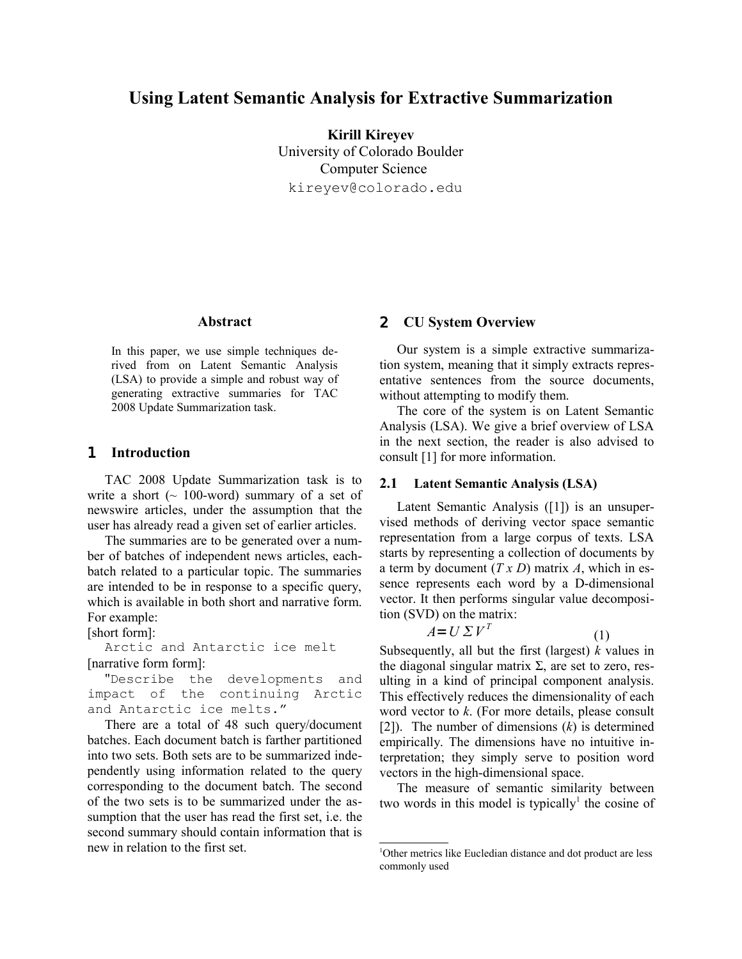# **Using Latent Semantic Analysis for Extractive Summarization**

**Kirill Kireyev** University of Colorado Boulder Computer Science kireyev@colorado.edu

## **Abstract**

In this paper, we use simple techniques derived from on Latent Semantic Analysis (LSA) to provide a simple and robust way of generating extractive summaries for TAC 2008 Update Summarization task.

## 1 **Introduction**

TAC 2008 Update Summarization task is to write a short  $($   $\sim$  100-word) summary of a set of newswire articles, under the assumption that the user has already read a given set of earlier articles.

The summaries are to be generated over a number of batches of independent news articles, eachbatch related to a particular topic. The summaries are intended to be in response to a specific query, which is available in both short and narrative form. For example:

[short form]:

Arctic and Antarctic ice melt [narrative form form]:

"Describe the developments and impact of the continuing Arctic and Antarctic ice melts."

There are a total of 48 such query/document batches. Each document batch is farther partitioned into two sets. Both sets are to be summarized independently using information related to the query corresponding to the document batch. The second of the two sets is to be summarized under the assumption that the user has read the first set, i.e. the second summary should contain information that is new in relation to the first set.

#### 2 **CU System Overview**

Our system is a simple extractive summarization system, meaning that it simply extracts representative sentences from the source documents, without attempting to modify them.

The core of the system is on Latent Semantic Analysis (LSA). We give a brief overview of LSA in the next section, the reader is also advised to consult [1] for more information.

#### **2.1 Latent Semantic Analysis (LSA)**

Latent Semantic Analysis ([1]) is an unsupervised methods of deriving vector space semantic representation from a large corpus of texts. LSA starts by representing a collection of documents by a term by document (*T x D*) matrix *A*, which in essence represents each word by a D-dimensional vector. It then performs singular value decomposition (SVD) on the matrix:

$$
A = U \Sigma V^T \tag{1}
$$

Subsequently, all but the first (largest) *k* values in the diagonal singular matrix  $\Sigma$ , are set to zero, resulting in a kind of principal component analysis. This effectively reduces the dimensionality of each word vector to *k*. (For more details, please consult [2]). The number of dimensions (*k*) is determined empirically. The dimensions have no intuitive interpretation; they simply serve to position word vectors in the high-dimensional space.

The measure of semantic similarity between two words in this model is typically<sup>[1](#page-0-0)</sup> the cosine of

<span id="page-0-0"></span><sup>1</sup>Other metrics like Eucledian distance and dot product are less commonly used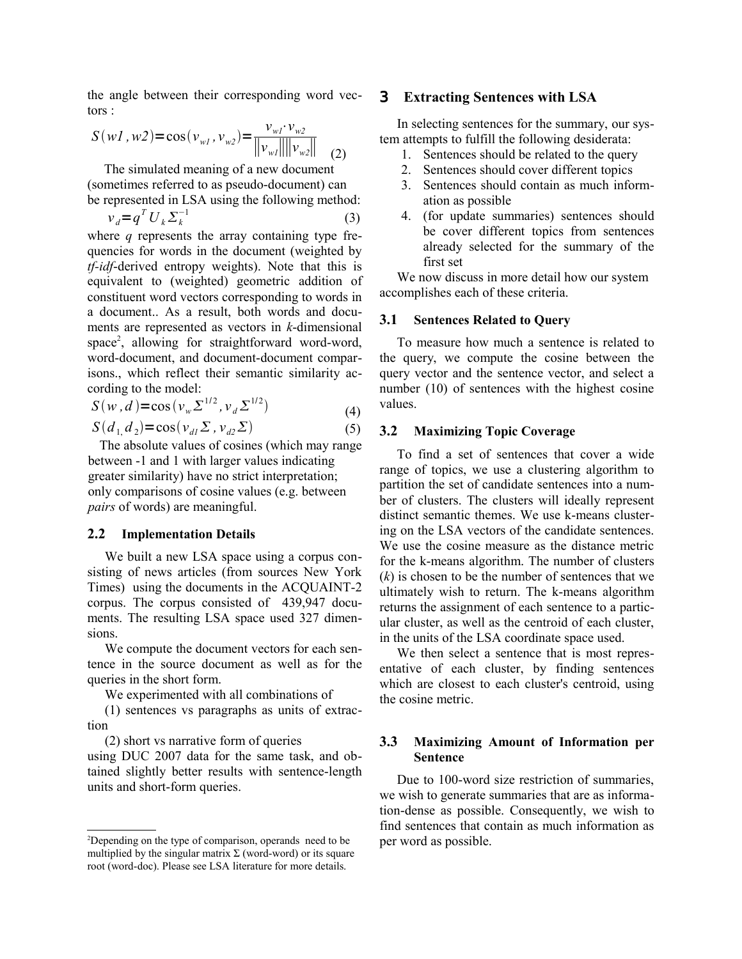the angle between their corresponding word vectors :

$$
S(wI, w2) = \cos(v_{wl}, v_{w2}) = \frac{v_{wl} \cdot v_{w2}}{\|v_{wl}\| \|v_{w2}\|}
$$
 (2)

The simulated meaning of a new document (sometimes referred to as pseudo-document) can

be represented in LSA using the following method:  

$$
v_d = q^T U_k \Sigma_k^{-1}
$$
 (3)

where *q* represents the array containing type frequencies for words in the document (weighted by *tf-idf*-derived entropy weights). Note that this is equivalent to (weighted) geometric addition of constituent word vectors corresponding to words in a document.. As a result, both words and documents are represented as vectors in *k*-dimensional space<sup>[2](#page-1-0)</sup>, allowing for straightforward word-word, word-document, and document-document comparisons., which reflect their semantic similarity according to the model:

$$
S(w, d) = \cos(v_w \Sigma^{1/2}, v_d \Sigma^{1/2})
$$
 (4)

$$
S(d_1, d_2) = \cos(v_{d1} \Sigma, v_{d2} \Sigma)
$$
 (5)

The absolute values of cosines (which may range between -1 and 1 with larger values indicating greater similarity) have no strict interpretation; only comparisons of cosine values (e.g. between *pairs* of words) are meaningful.

#### **2.2 Implementation Details**

We built a new LSA space using a corpus consisting of news articles (from sources New York Times) using the documents in the ACQUAINT-2 corpus. The corpus consisted of 439,947 documents. The resulting LSA space used 327 dimensions.

We compute the document vectors for each sentence in the source document as well as for the queries in the short form.

We experimented with all combinations of

(1) sentences vs paragraphs as units of extraction

(2) short vs narrative form of queries

using DUC 2007 data for the same task, and obtained slightly better results with sentence-length units and short-form queries.

## 3 **Extracting Sentences with LSA**

In selecting sentences for the summary, our system attempts to fulfill the following desiderata:

- 1. Sentences should be related to the query
- 2. Sentences should cover different topics
- 3. Sentences should contain as much information as possible
- 4. (for update summaries) sentences should be cover different topics from sentences already selected for the summary of the first set

We now discuss in more detail how our system accomplishes each of these criteria.

## **3.1 Sentences Related to Query**

To measure how much a sentence is related to the query, we compute the cosine between the query vector and the sentence vector, and select a number (10) of sentences with the highest cosine values.

## **3.2 Maximizing Topic Coverage**

To find a set of sentences that cover a wide range of topics, we use a clustering algorithm to partition the set of candidate sentences into a number of clusters. The clusters will ideally represent distinct semantic themes. We use k-means clustering on the LSA vectors of the candidate sentences. We use the cosine measure as the distance metric for the k-means algorithm. The number of clusters (*k*) is chosen to be the number of sentences that we ultimately wish to return. The k-means algorithm returns the assignment of each sentence to a particular cluster, as well as the centroid of each cluster, in the units of the LSA coordinate space used.

We then select a sentence that is most representative of each cluster, by finding sentences which are closest to each cluster's centroid, using the cosine metric.

# **3.3 Maximizing Amount of Information per Sentence**

Due to 100-word size restriction of summaries, we wish to generate summaries that are as information-dense as possible. Consequently, we wish to find sentences that contain as much information as per word as possible.

<span id="page-1-0"></span><sup>2</sup>Depending on the type of comparison, operands need to be multiplied by the singular matrix  $\Sigma$  (word-word) or its square root (word-doc). Please see LSA literature for more details.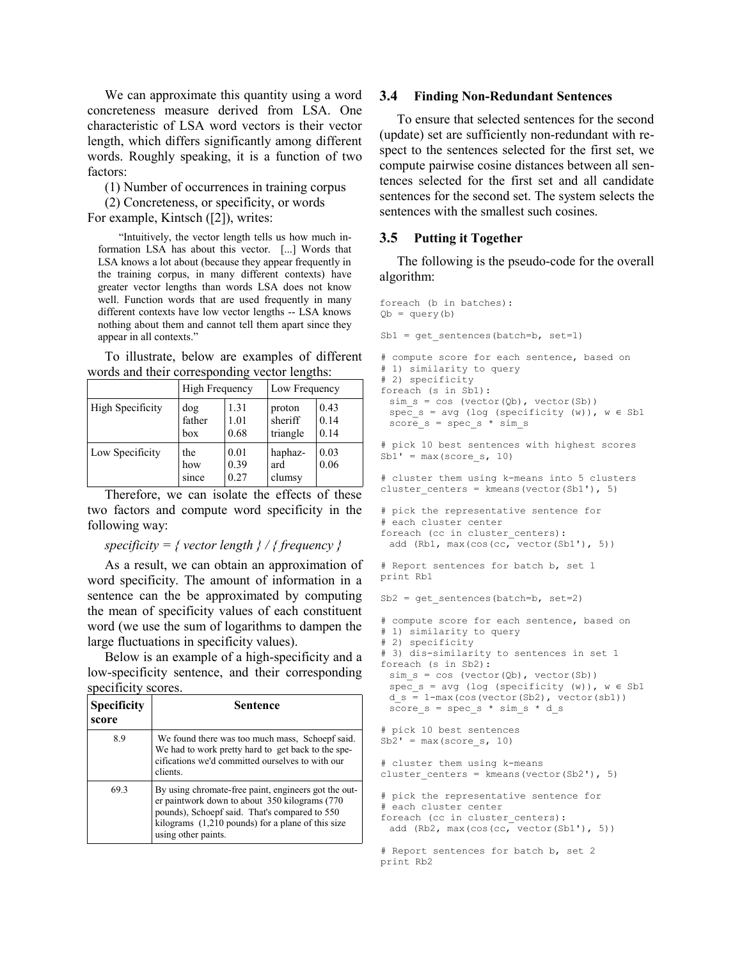We can approximate this quantity using a word concreteness measure derived from LSA. One characteristic of LSA word vectors is their vector length, which differs significantly among different words. Roughly speaking, it is a function of two factors:

(1) Number of occurrences in training corpus

(2) Concreteness, or specificity, or words For example, Kintsch ([2]), writes:

"Intuitively, the vector length tells us how much information LSA has about this vector. [...] Words that LSA knows a lot about (because they appear frequently in the training corpus, in many different contexts) have greater vector lengths than words LSA does not know well. Function words that are used frequently in many different contexts have low vector lengths -- LSA knows nothing about them and cannot tell them apart since they appear in all contexts."

To illustrate, below are examples of different words and their corresponding vector lengths:

|                         | High Frequency       |                      | Low Frequency                 |                      |
|-------------------------|----------------------|----------------------|-------------------------------|----------------------|
| <b>High Specificity</b> | dog<br>father<br>hox | 1.31<br>1.01<br>0.68 | proton<br>sheriff<br>triangle | 0.43<br>0.14<br>0.14 |
| Low Specificity         | the<br>how<br>since  | 0.01<br>0.39<br>0.27 | haphaz-<br>ard<br>clumsy      | 0.03<br>0.06         |

Therefore, we can isolate the effects of these two factors and compute word specificity in the following way:

### *specificity = { vector length } / { frequency }*

As a result, we can obtain an approximation of word specificity. The amount of information in a sentence can the be approximated by computing the mean of specificity values of each constituent word (we use the sum of logarithms to dampen the large fluctuations in specificity values).

Below is an example of a high-specificity and a low-specificity sentence, and their corresponding specificity scores.

| <b>Specificity</b><br>score | Sentence                                                                                                                                                                                                                                      |
|-----------------------------|-----------------------------------------------------------------------------------------------------------------------------------------------------------------------------------------------------------------------------------------------|
| 8.9                         | We found there was too much mass, Schoepf said.<br>We had to work pretty hard to get back to the spe-<br>cifications we'd committed ourselves to with our<br>clients.                                                                         |
| 693                         | By using chromate-free paint, engineers got the out-<br>er paintwork down to about 350 kilograms (770)<br>pounds), Schoepf said. That's compared to 550<br>kilograms $(1,210 \text{ pounds})$ for a plane of this size<br>using other paints. |

#### **3.4 Finding Non-Redundant Sentences**

To ensure that selected sentences for the second (update) set are sufficiently non-redundant with respect to the sentences selected for the first set, we compute pairwise cosine distances between all sentences selected for the first set and all candidate sentences for the second set. The system selects the sentences with the smallest such cosines.

## **3.5 Putting it Together**

The following is the pseudo-code for the overall algorithm:

```
foreach (b in batches):
Qb = query(b)Sb1 = qet sentences(batch=b, set=1)
# compute score for each sentence, based on
# 1) similarity to query
# 2) specificity
foreach (s in Sb1):
 sim s = cos (vector(Qb), vector(Sb))spec_s = avg (log (specificity (w)), w \in Sb1score s = spec s * sim s# pick 10 best sentences with highest scores
Sb1' = max(score s, 10)# cluster them using k-means into 5 clusters
cluster centers = kmeans(vector(Sb1'), 5)
# pick the representative sentence for 
# each cluster center
foreach (cc in cluster centers):
 add (Rb1, max(cos(cc, vector(Sb1'), 5))
# Report sentences for batch b, set 1
print Rb1
Sb2 = qet sentences(batch=b, set=2)
# compute score for each sentence, based on
# 1) similarity to query
# 2) specificity
# 3) dis-similarity to sentences in set 1
foreach (s in Sb2):
 sim s = cos (vector(Qb), vector(Sb))spec s = avg (log (specificity (w)), w \in Sb1d s = 1 - max(cos(vector(Sb2)), vector(sb1))score s = spec s * sim s * d s# pick 10 best sentences
Sb2' = max(Score s, 10)# cluster them using k-means
cluster centers = kmeans(vector(Sb2'), 5)
# pick the representative sentence for 
# each cluster center
foreach (cc in cluster centers):
 add (Rb2, max(cos(cc, vector(Sb1')), 5))# Report sentences for batch b, set 2
```
print Rb2